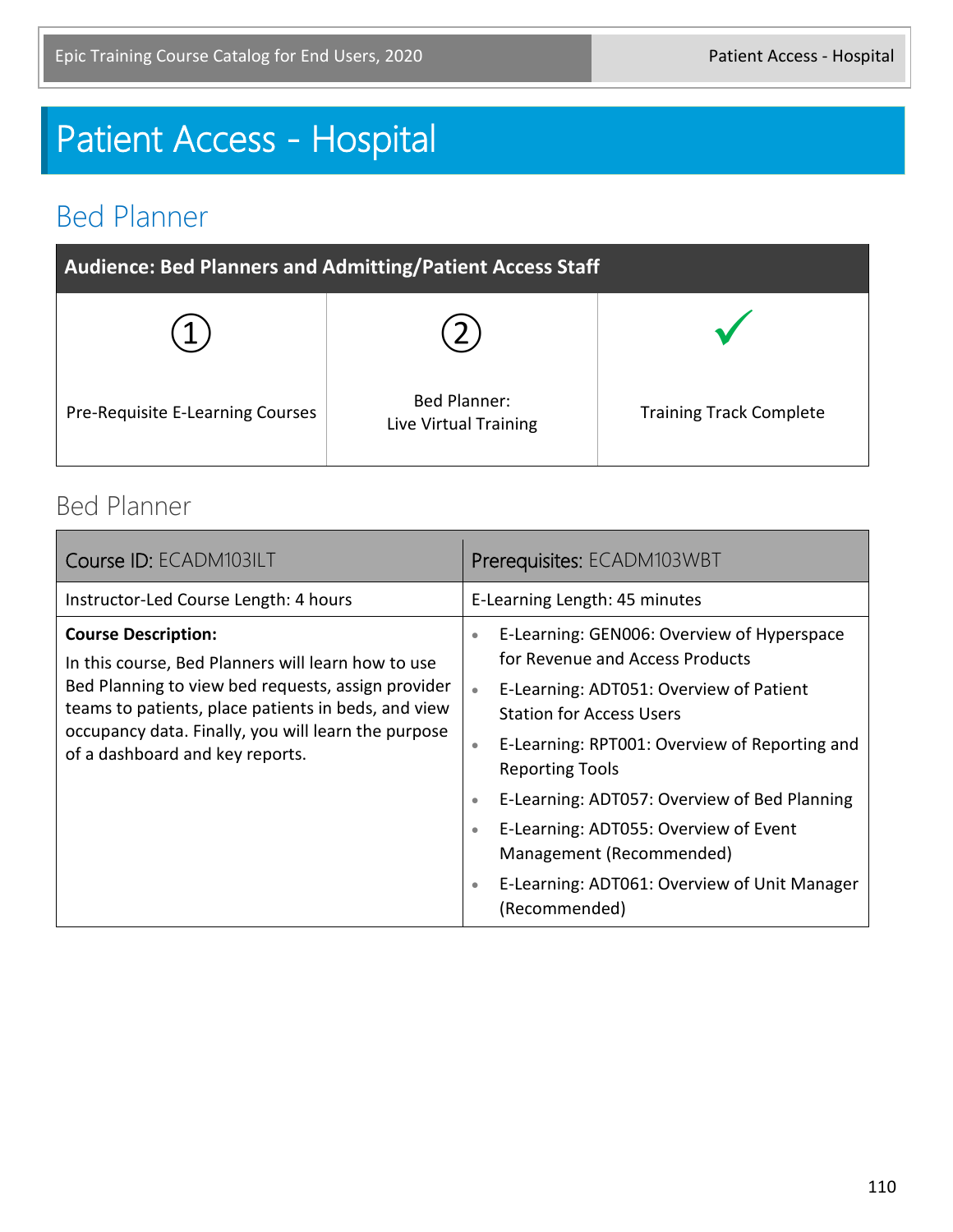# Patient Access - Hospital

#### Bed Planner

| <b>Audience: Bed Planners and Admitting/Patient Access Staff</b> |                                              |                                |  |  |
|------------------------------------------------------------------|----------------------------------------------|--------------------------------|--|--|
|                                                                  |                                              |                                |  |  |
| Pre-Requisite E-Learning Courses                                 | <b>Bed Planner:</b><br>Live Virtual Training | <b>Training Track Complete</b> |  |  |

#### Bed Planner

| Course ID: ECADM103ILT                                                                                                                                                                                                                                                                  | Prerequisites: ECADM103WBT                                                                                                                                                                                                                                                                                                                                                                                                                                                                                 |
|-----------------------------------------------------------------------------------------------------------------------------------------------------------------------------------------------------------------------------------------------------------------------------------------|------------------------------------------------------------------------------------------------------------------------------------------------------------------------------------------------------------------------------------------------------------------------------------------------------------------------------------------------------------------------------------------------------------------------------------------------------------------------------------------------------------|
| Instructor-Led Course Length: 4 hours                                                                                                                                                                                                                                                   | E-Learning Length: 45 minutes                                                                                                                                                                                                                                                                                                                                                                                                                                                                              |
| <b>Course Description:</b><br>In this course, Bed Planners will learn how to use<br>Bed Planning to view bed requests, assign provider<br>teams to patients, place patients in beds, and view<br>occupancy data. Finally, you will learn the purpose<br>of a dashboard and key reports. | E-Learning: GEN006: Overview of Hyperspace<br>$\bullet$<br>for Revenue and Access Products<br>E-Learning: ADT051: Overview of Patient<br>$\bullet$<br><b>Station for Access Users</b><br>E-Learning: RPT001: Overview of Reporting and<br>$\bullet$<br><b>Reporting Tools</b><br>E-Learning: ADT057: Overview of Bed Planning<br>$\bullet$<br>E-Learning: ADT055: Overview of Event<br>$\bullet$<br>Management (Recommended)<br>E-Learning: ADT061: Overview of Unit Manager<br>$\bullet$<br>(Recommended) |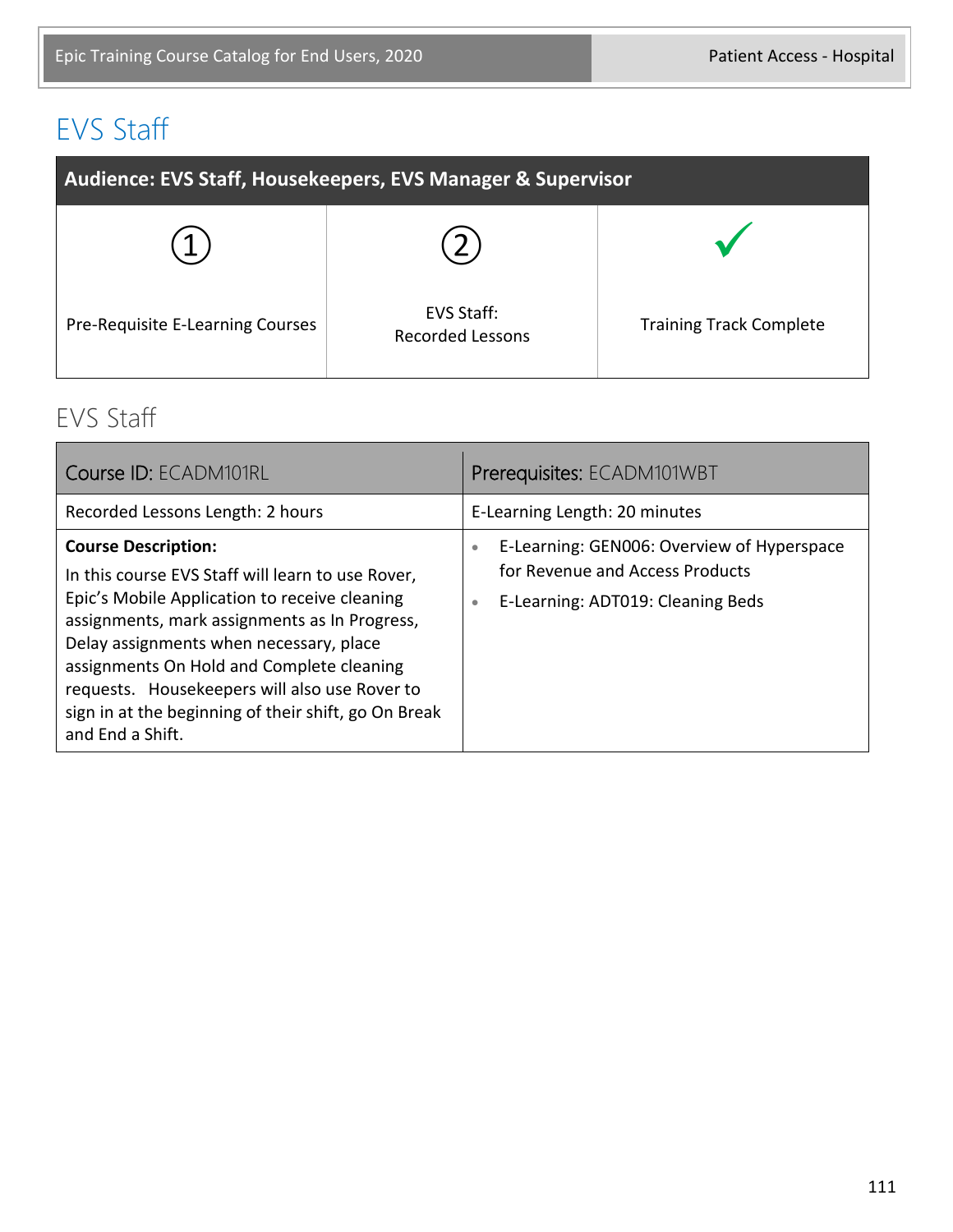### EVS Staff

| Audience: EVS Staff, Housekeepers, EVS Manager & Supervisor |                                       |                                |  |  |
|-------------------------------------------------------------|---------------------------------------|--------------------------------|--|--|
|                                                             |                                       |                                |  |  |
| Pre-Requisite E-Learning Courses                            | EVS Staff:<br><b>Recorded Lessons</b> | <b>Training Track Complete</b> |  |  |

#### EVS Staff

| Course ID: ECADM101RL                                                                                                                                                                                                                                                                                                                                                                                  | Prerequisites: ECADM101WBT                                                                                                                   |
|--------------------------------------------------------------------------------------------------------------------------------------------------------------------------------------------------------------------------------------------------------------------------------------------------------------------------------------------------------------------------------------------------------|----------------------------------------------------------------------------------------------------------------------------------------------|
| Recorded Lessons Length: 2 hours                                                                                                                                                                                                                                                                                                                                                                       | E-Learning Length: 20 minutes                                                                                                                |
| <b>Course Description:</b><br>In this course EVS Staff will learn to use Rover,<br>Epic's Mobile Application to receive cleaning<br>assignments, mark assignments as In Progress,<br>Delay assignments when necessary, place<br>assignments On Hold and Complete cleaning<br>requests. Housekeepers will also use Rover to<br>sign in at the beginning of their shift, go On Break<br>and End a Shift. | E-Learning: GEN006: Overview of Hyperspace<br>$\bullet$<br>for Revenue and Access Products<br>E-Learning: ADT019: Cleaning Beds<br>$\bullet$ |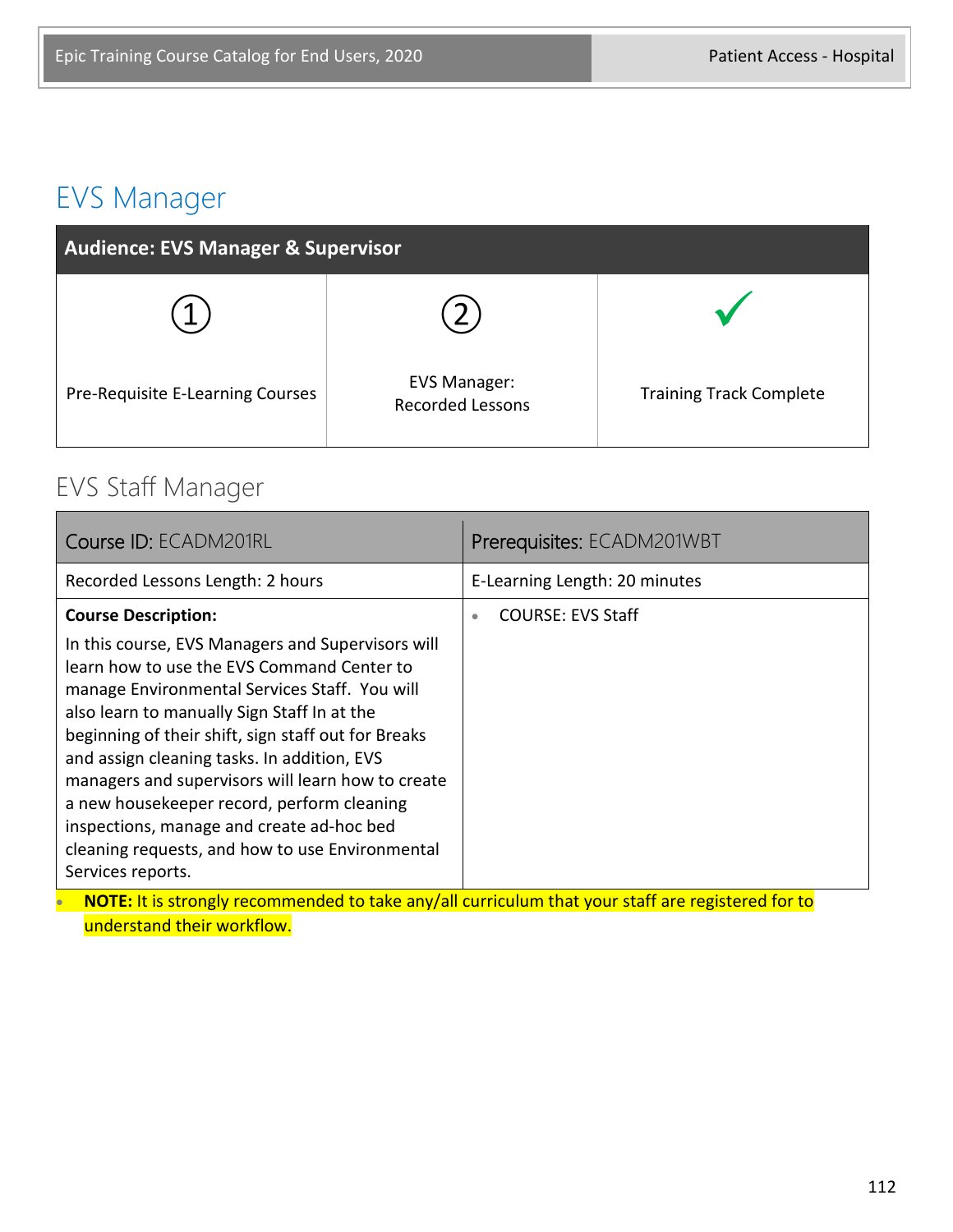#### EVS Manager

| <b>Audience: EVS Manager &amp; Supervisor</b> |                                                |                                |  |  |
|-----------------------------------------------|------------------------------------------------|--------------------------------|--|--|
|                                               |                                                |                                |  |  |
| Pre-Requisite E-Learning Courses              | <b>EVS Manager:</b><br><b>Recorded Lessons</b> | <b>Training Track Complete</b> |  |  |

#### EVS Staff Manager

| Course ID: ECADM201RL                                                                                                                                                                                                                                                                                                                                                                                                                                                                                                                                       | Prerequisites: ECADM201WBT            |  |  |  |
|-------------------------------------------------------------------------------------------------------------------------------------------------------------------------------------------------------------------------------------------------------------------------------------------------------------------------------------------------------------------------------------------------------------------------------------------------------------------------------------------------------------------------------------------------------------|---------------------------------------|--|--|--|
| Recorded Lessons Length: 2 hours                                                                                                                                                                                                                                                                                                                                                                                                                                                                                                                            | E-Learning Length: 20 minutes         |  |  |  |
| <b>Course Description:</b><br>In this course, EVS Managers and Supervisors will<br>learn how to use the EVS Command Center to<br>manage Environmental Services Staff. You will<br>also learn to manually Sign Staff In at the<br>beginning of their shift, sign staff out for Breaks<br>and assign cleaning tasks. In addition, EVS<br>managers and supervisors will learn how to create<br>a new housekeeper record, perform cleaning<br>inspections, manage and create ad-hoc bed<br>cleaning requests, and how to use Environmental<br>Services reports. | <b>COURSE: EVS Staff</b><br>$\bullet$ |  |  |  |
| NOTE: It is strongly recommended to take any/all curriculum that your staff are registered for to                                                                                                                                                                                                                                                                                                                                                                                                                                                           |                                       |  |  |  |

understand their workflow.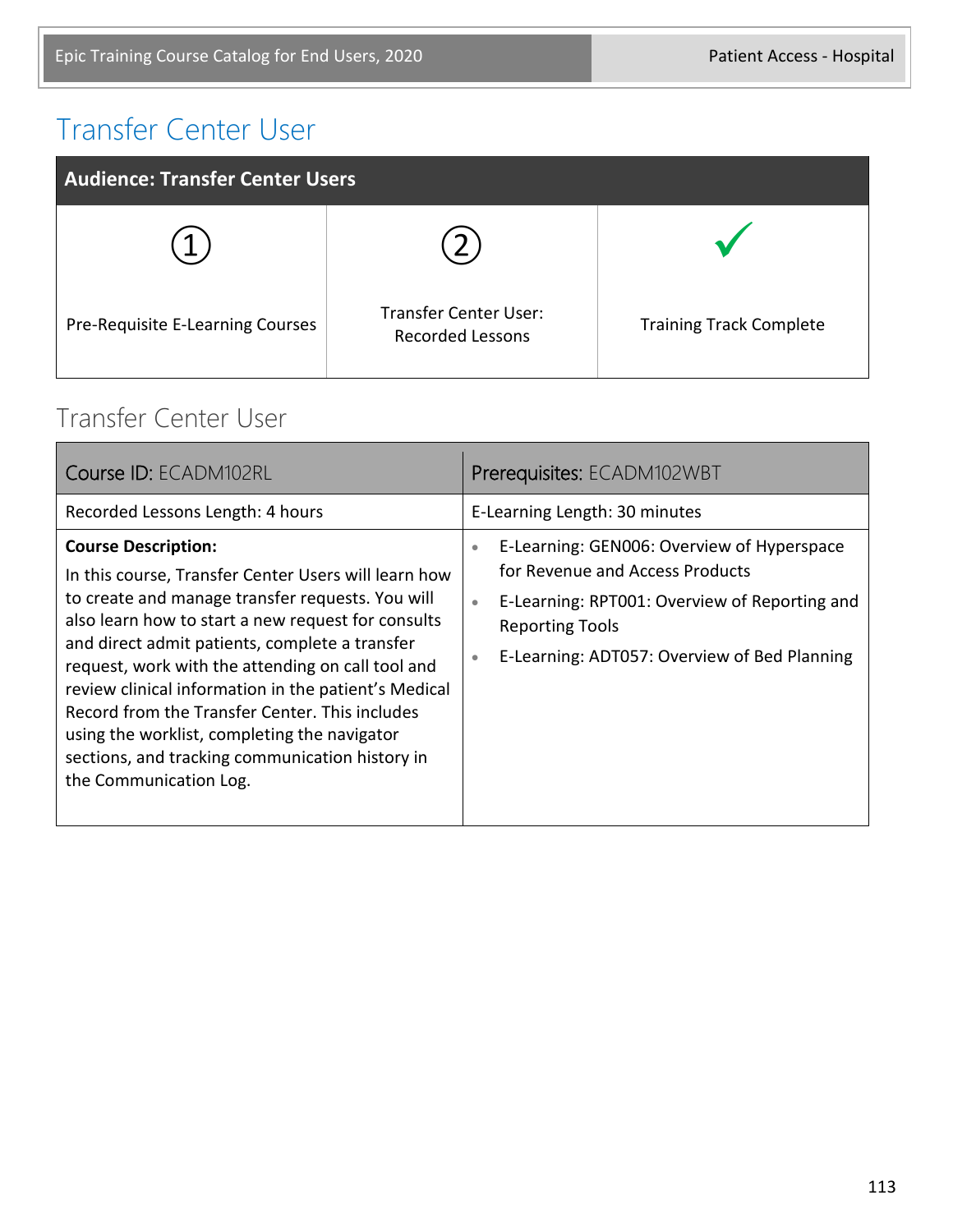#### Transfer Center User

| <b>Audience: Transfer Center Users</b> |                                                         |                                |  |  |
|----------------------------------------|---------------------------------------------------------|--------------------------------|--|--|
|                                        |                                                         |                                |  |  |
| Pre-Requisite E-Learning Courses       | <b>Transfer Center User:</b><br><b>Recorded Lessons</b> | <b>Training Track Complete</b> |  |  |

#### Transfer Center User

| Course ID: ECADM102RL                                                                                                                                                                                                                                                                                                                                                                                                                                                                                                                      | Prerequisites: ECADM102WBT                                                                                                                                                                                                              |
|--------------------------------------------------------------------------------------------------------------------------------------------------------------------------------------------------------------------------------------------------------------------------------------------------------------------------------------------------------------------------------------------------------------------------------------------------------------------------------------------------------------------------------------------|-----------------------------------------------------------------------------------------------------------------------------------------------------------------------------------------------------------------------------------------|
| Recorded Lessons Length: 4 hours                                                                                                                                                                                                                                                                                                                                                                                                                                                                                                           | E-Learning Length: 30 minutes                                                                                                                                                                                                           |
| <b>Course Description:</b><br>In this course, Transfer Center Users will learn how<br>to create and manage transfer requests. You will<br>also learn how to start a new request for consults<br>and direct admit patients, complete a transfer<br>request, work with the attending on call tool and<br>review clinical information in the patient's Medical<br>Record from the Transfer Center. This includes<br>using the worklist, completing the navigator<br>sections, and tracking communication history in<br>the Communication Log. | E-Learning: GEN006: Overview of Hyperspace<br>۰<br>for Revenue and Access Products<br>E-Learning: RPT001: Overview of Reporting and<br>$\bullet$<br><b>Reporting Tools</b><br>E-Learning: ADT057: Overview of Bed Planning<br>$\bullet$ |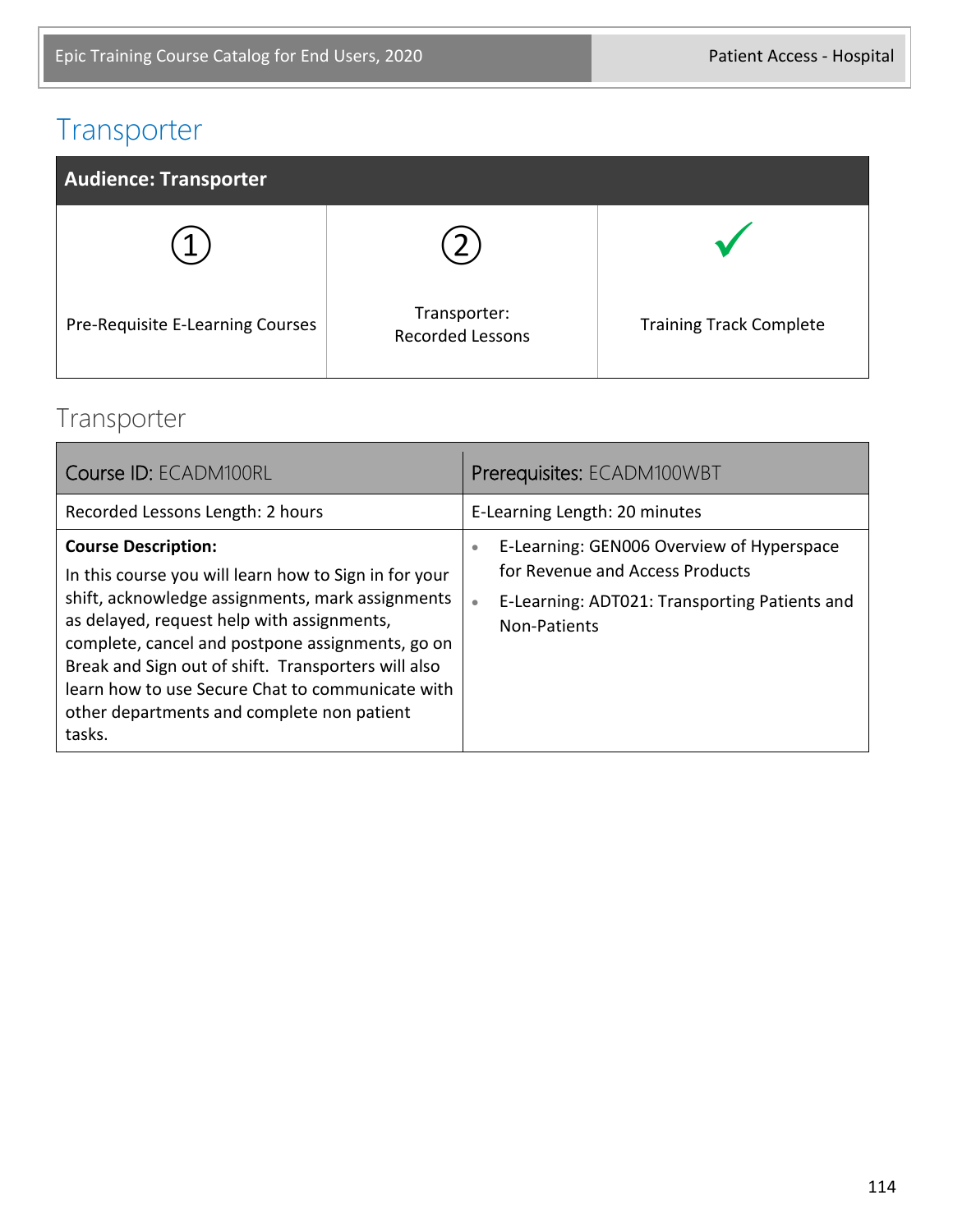#### Transporter



#### Transporter

| Course ID: ECADM100RL                                                                                                                                                                                                                                                                                                                                                                                        | Prerequisites: ECADM100WBT                                                                                                                                      |
|--------------------------------------------------------------------------------------------------------------------------------------------------------------------------------------------------------------------------------------------------------------------------------------------------------------------------------------------------------------------------------------------------------------|-----------------------------------------------------------------------------------------------------------------------------------------------------------------|
| Recorded Lessons Length: 2 hours                                                                                                                                                                                                                                                                                                                                                                             | E-Learning Length: 20 minutes                                                                                                                                   |
| <b>Course Description:</b><br>In this course you will learn how to Sign in for your<br>shift, acknowledge assignments, mark assignments<br>as delayed, request help with assignments,<br>complete, cancel and postpone assignments, go on<br>Break and Sign out of shift. Transporters will also<br>learn how to use Secure Chat to communicate with<br>other departments and complete non patient<br>tasks. | E-Learning: GEN006 Overview of Hyperspace<br>۰<br>for Revenue and Access Products<br>E-Learning: ADT021: Transporting Patients and<br>$\bullet$<br>Non-Patients |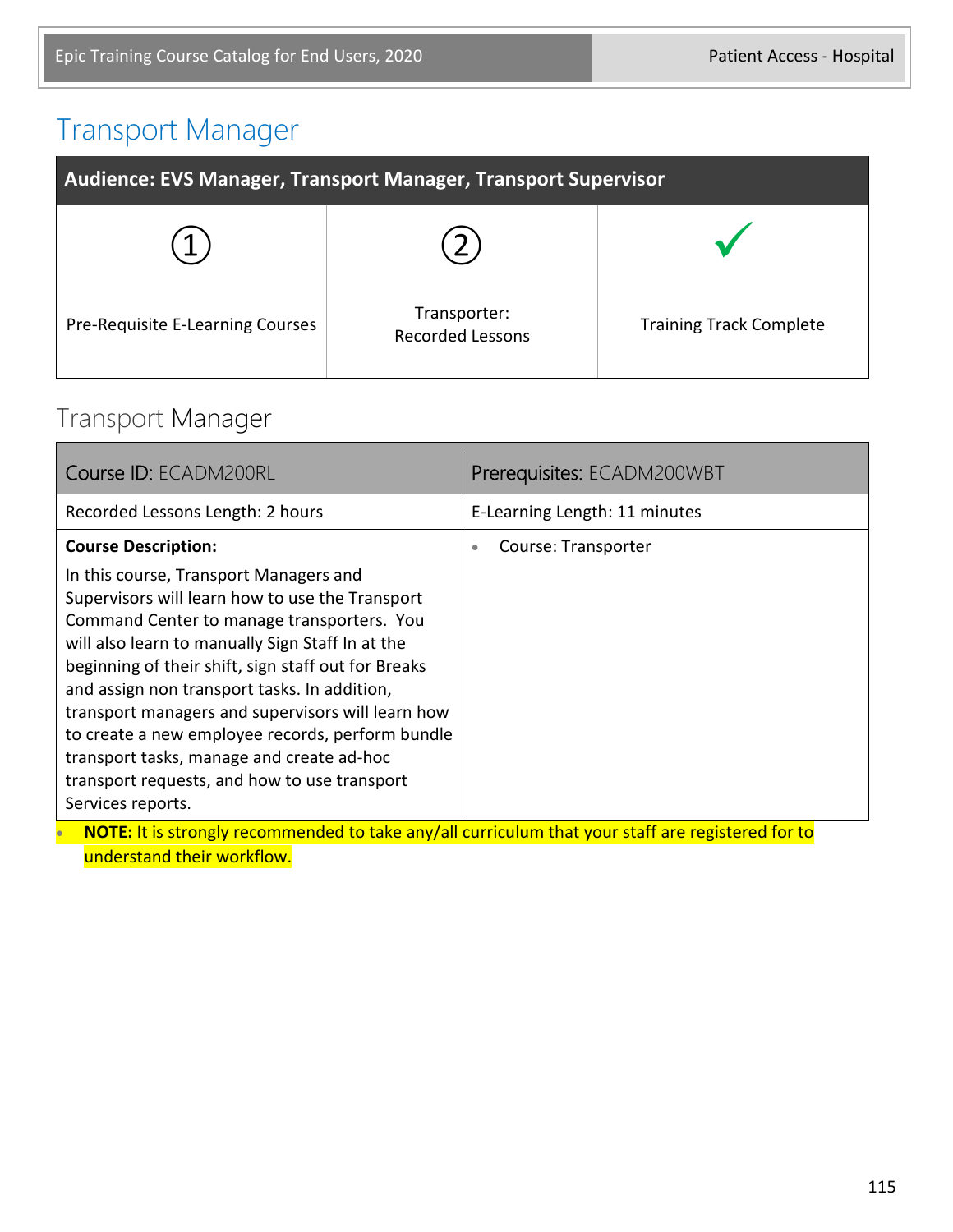#### Transport Manager

| Audience: EVS Manager, Transport Manager, Transport Supervisor |                                         |                                |  |  |
|----------------------------------------------------------------|-----------------------------------------|--------------------------------|--|--|
|                                                                |                                         |                                |  |  |
| Pre-Requisite E-Learning Courses                               | Transporter:<br><b>Recorded Lessons</b> | <b>Training Track Complete</b> |  |  |

#### Transport Manager

| Recorded Lessons Length: 2 hours                                                                                                                                                                                                                                                                                                                                                                                                                                                                                                                                                                                                                                 | E-Learning Length: 11 minutes    |
|------------------------------------------------------------------------------------------------------------------------------------------------------------------------------------------------------------------------------------------------------------------------------------------------------------------------------------------------------------------------------------------------------------------------------------------------------------------------------------------------------------------------------------------------------------------------------------------------------------------------------------------------------------------|----------------------------------|
| <b>Course Description:</b><br>In this course, Transport Managers and<br>Supervisors will learn how to use the Transport<br>Command Center to manage transporters. You<br>will also learn to manually Sign Staff In at the<br>beginning of their shift, sign staff out for Breaks<br>and assign non transport tasks. In addition,<br>transport managers and supervisors will learn how<br>to create a new employee records, perform bundle<br>transport tasks, manage and create ad-hoc<br>transport requests, and how to use transport<br>Services reports.<br>NOTE: It is strongly recommended to take any/all curriculum that your staff are registered for to | Course: Transporter<br>$\bullet$ |

• **NOTE:** It is strongly recommended to take any/all curriculum that your staff are registered for to understand their workflow.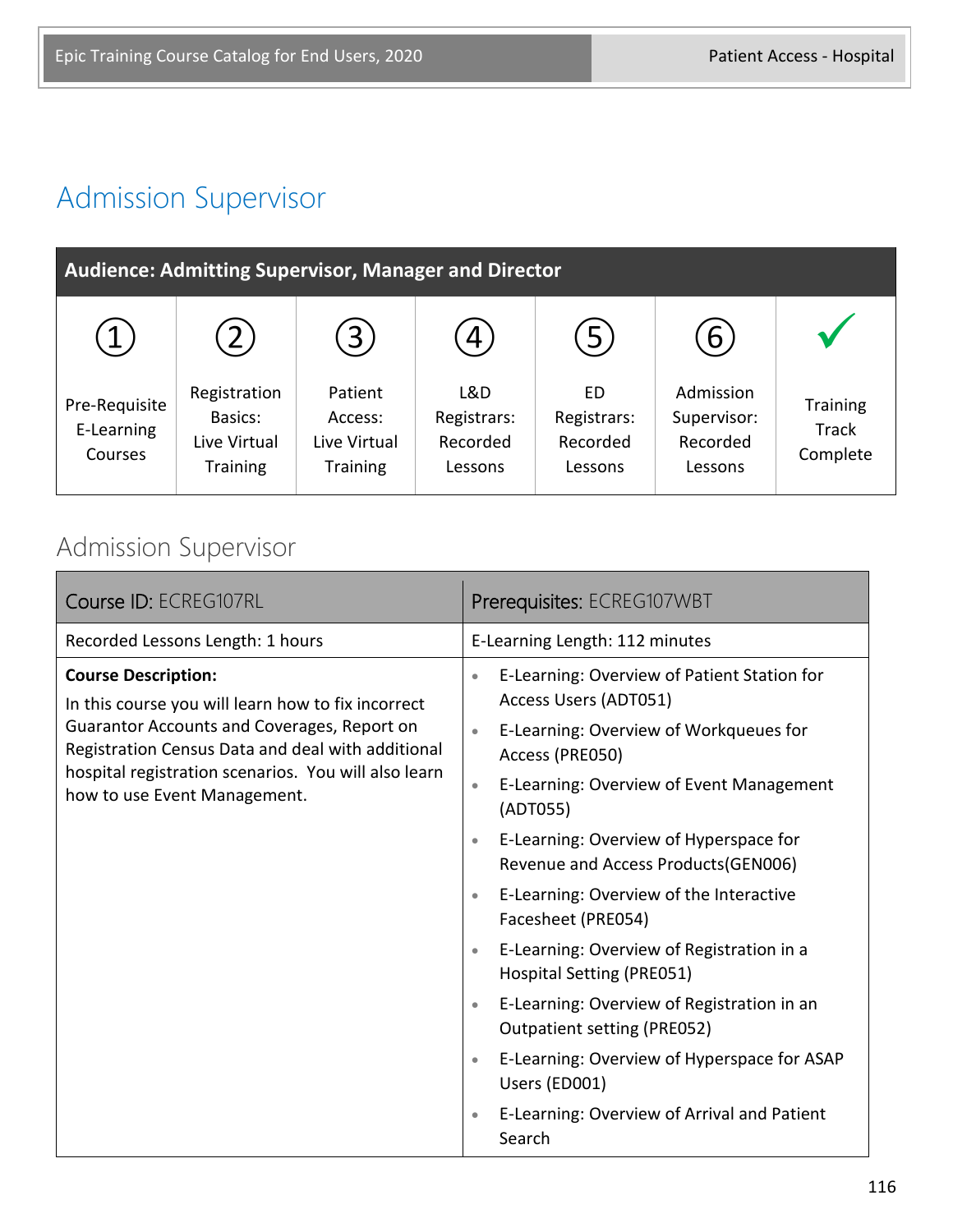# Admission Supervisor

| <b>Audience: Admitting Supervisor, Manager and Director</b> |                                                            |                                                       |                                           |                                          |                                                 |                                             |
|-------------------------------------------------------------|------------------------------------------------------------|-------------------------------------------------------|-------------------------------------------|------------------------------------------|-------------------------------------------------|---------------------------------------------|
|                                                             | $\overline{2}$                                             | 3                                                     | 4                                         | $\left[5\right]$                         | 6                                               |                                             |
| Pre-Requisite<br>E-Learning<br>Courses                      | Registration<br>Basics:<br>Live Virtual<br><b>Training</b> | Patient<br>Access:<br>Live Virtual<br><b>Training</b> | L&D<br>Registrars:<br>Recorded<br>Lessons | ED<br>Registrars:<br>Recorded<br>Lessons | Admission<br>Supervisor:<br>Recorded<br>Lessons | <b>Training</b><br><b>Track</b><br>Complete |

#### Admission Supervisor

| Course ID: ECREG107RL                                                                                                                                                                                                                                                        | Prerequisites: ECREG107WBT                                                                                                                                                                                                                                                                                                                                                                                                                                                                                                                                                                                                                                                                                                                              |  |
|------------------------------------------------------------------------------------------------------------------------------------------------------------------------------------------------------------------------------------------------------------------------------|---------------------------------------------------------------------------------------------------------------------------------------------------------------------------------------------------------------------------------------------------------------------------------------------------------------------------------------------------------------------------------------------------------------------------------------------------------------------------------------------------------------------------------------------------------------------------------------------------------------------------------------------------------------------------------------------------------------------------------------------------------|--|
| Recorded Lessons Length: 1 hours                                                                                                                                                                                                                                             | E-Learning Length: 112 minutes                                                                                                                                                                                                                                                                                                                                                                                                                                                                                                                                                                                                                                                                                                                          |  |
| <b>Course Description:</b><br>In this course you will learn how to fix incorrect<br>Guarantor Accounts and Coverages, Report on<br>Registration Census Data and deal with additional<br>hospital registration scenarios. You will also learn<br>how to use Event Management. | E-Learning: Overview of Patient Station for<br>$\bullet$<br>Access Users (ADT051)<br>E-Learning: Overview of Workqueues for<br>$\bullet$<br>Access (PRE050)<br>E-Learning: Overview of Event Management<br>$\bullet$<br>(ADT055)<br>E-Learning: Overview of Hyperspace for<br>$\bullet$<br>Revenue and Access Products(GEN006)<br>E-Learning: Overview of the Interactive<br>$\bullet$<br>Facesheet (PRE054)<br>E-Learning: Overview of Registration in a<br>$\bullet$<br><b>Hospital Setting (PRE051)</b><br>E-Learning: Overview of Registration in an<br>$\bullet$<br>Outpatient setting (PRE052)<br>E-Learning: Overview of Hyperspace for ASAP<br>$\bullet$<br>Users (ED001)<br>E-Learning: Overview of Arrival and Patient<br>$\bullet$<br>Search |  |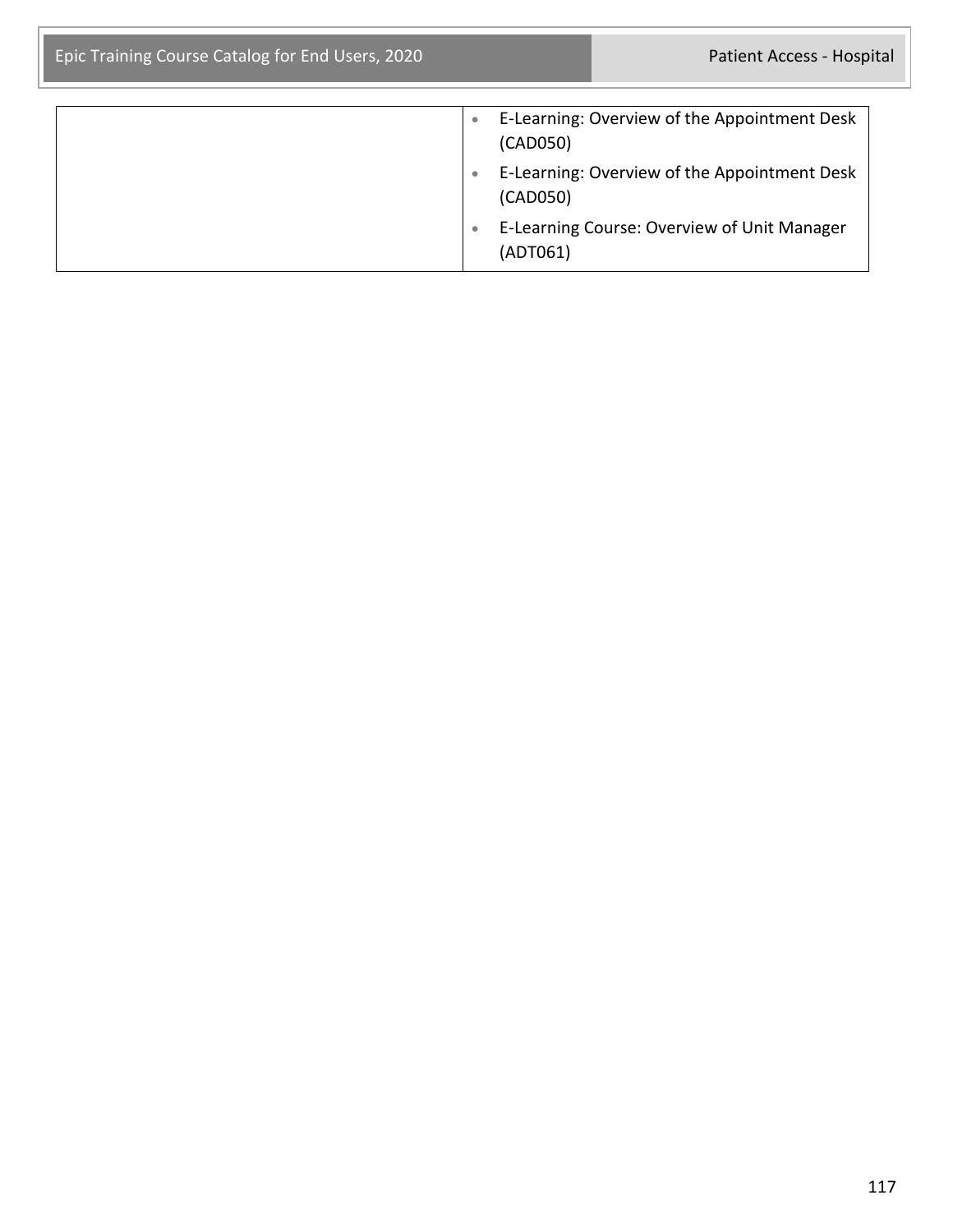| E-Learning: Overview of the Appointment Desk<br>(CAD050) |
|----------------------------------------------------------|
| E-Learning: Overview of the Appointment Desk<br>(CAD050) |
| E-Learning Course: Overview of Unit Manager<br>(ADT061)  |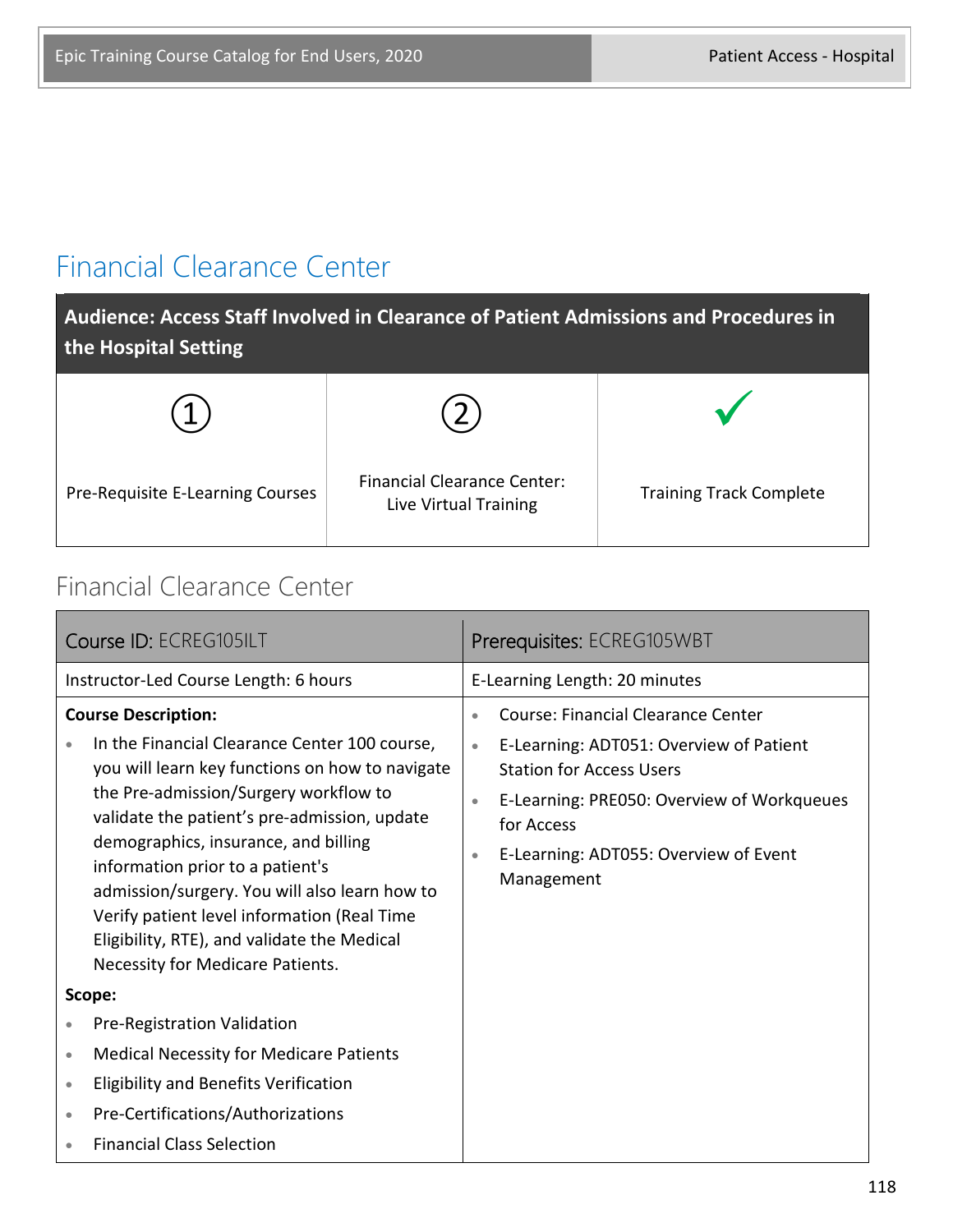#### Financial Clearance Center

**Audience: Access Staff Involved in Clearance of Patient Admissions and Procedures in the Hospital Setting**

| Pre-Requisite E-Learning Courses | <b>Financial Clearance Center:</b><br>Live Virtual Training | <b>Training Track Complete</b> |
|----------------------------------|-------------------------------------------------------------|--------------------------------|

#### Financial Clearance Center

| Course ID: ECREG105ILT                                                                                                                                                                                                                                                                                                                                                                                                                                                                 | Prerequisites: ECREG105WBT                                                                                                                                                                                                                                                                     |
|----------------------------------------------------------------------------------------------------------------------------------------------------------------------------------------------------------------------------------------------------------------------------------------------------------------------------------------------------------------------------------------------------------------------------------------------------------------------------------------|------------------------------------------------------------------------------------------------------------------------------------------------------------------------------------------------------------------------------------------------------------------------------------------------|
| Instructor-Led Course Length: 6 hours                                                                                                                                                                                                                                                                                                                                                                                                                                                  | E-Learning Length: 20 minutes                                                                                                                                                                                                                                                                  |
| <b>Course Description:</b><br>In the Financial Clearance Center 100 course,<br>you will learn key functions on how to navigate<br>the Pre-admission/Surgery workflow to<br>validate the patient's pre-admission, update<br>demographics, insurance, and billing<br>information prior to a patient's<br>admission/surgery. You will also learn how to<br>Verify patient level information (Real Time<br>Eligibility, RTE), and validate the Medical<br>Necessity for Medicare Patients. | <b>Course: Financial Clearance Center</b><br>$\bullet$<br>E-Learning: ADT051: Overview of Patient<br>$\bullet$<br><b>Station for Access Users</b><br>E-Learning: PRE050: Overview of Workqueues<br>$\bullet$<br>for Access<br>E-Learning: ADT055: Overview of Event<br>$\bullet$<br>Management |
| Scope:                                                                                                                                                                                                                                                                                                                                                                                                                                                                                 |                                                                                                                                                                                                                                                                                                |
| Pre-Registration Validation<br>$\bullet$                                                                                                                                                                                                                                                                                                                                                                                                                                               |                                                                                                                                                                                                                                                                                                |
| <b>Medical Necessity for Medicare Patients</b><br>۰                                                                                                                                                                                                                                                                                                                                                                                                                                    |                                                                                                                                                                                                                                                                                                |
| <b>Eligibility and Benefits Verification</b><br>$\bullet$                                                                                                                                                                                                                                                                                                                                                                                                                              |                                                                                                                                                                                                                                                                                                |
| Pre-Certifications/Authorizations<br>$\bullet$                                                                                                                                                                                                                                                                                                                                                                                                                                         |                                                                                                                                                                                                                                                                                                |
| <b>Financial Class Selection</b>                                                                                                                                                                                                                                                                                                                                                                                                                                                       |                                                                                                                                                                                                                                                                                                |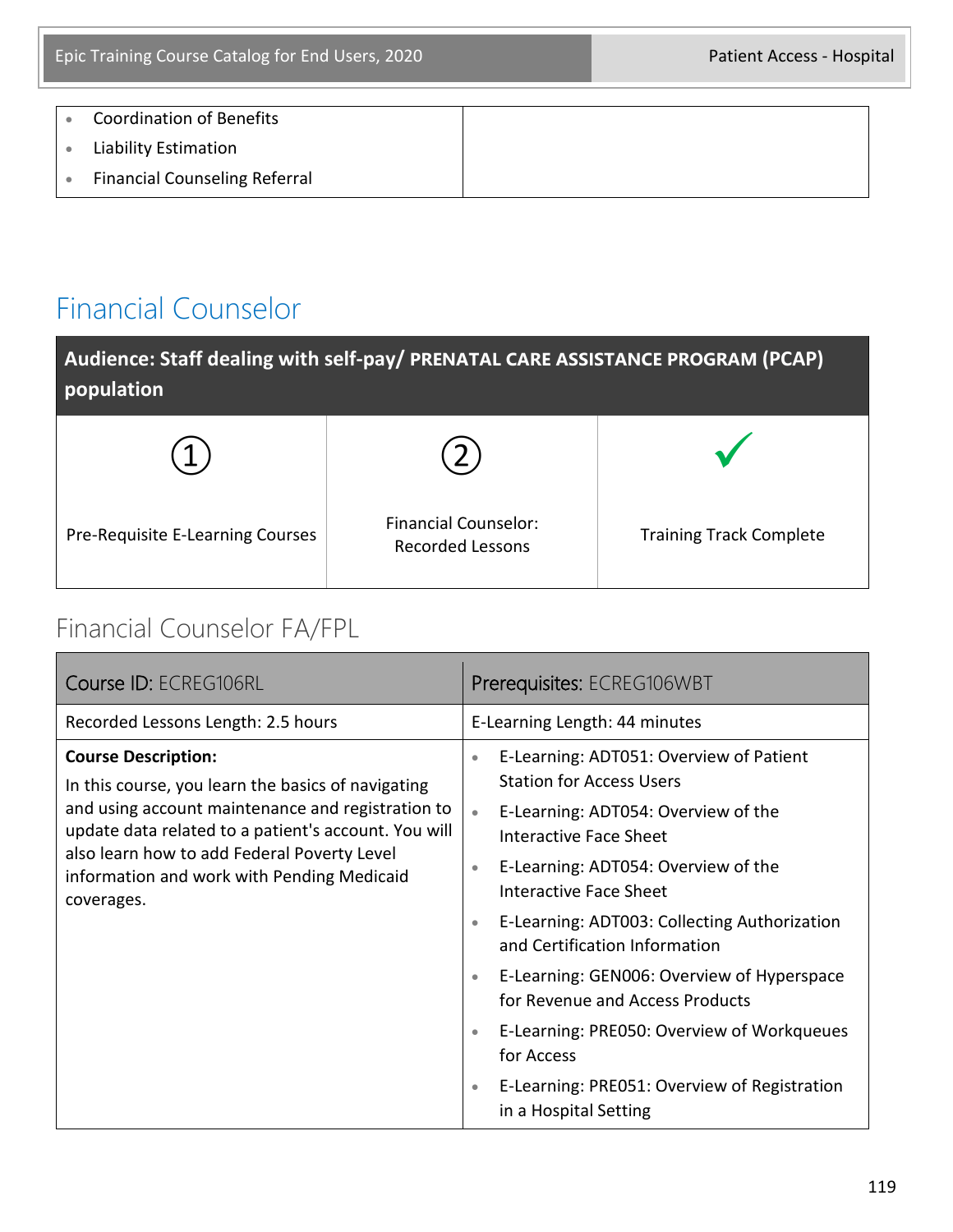• Coordination of Benefits • Liability Estimation • Financial Counseling Referral

#### Financial Counselor

| Audience: Staff dealing with self-pay/ PRENATAL CARE ASSISTANCE PROGRAM (PCAP)<br>population |                                                        |                                |
|----------------------------------------------------------------------------------------------|--------------------------------------------------------|--------------------------------|
|                                                                                              |                                                        |                                |
| Pre-Requisite E-Learning Courses                                                             | <b>Financial Counselor:</b><br><b>Recorded Lessons</b> | <b>Training Track Complete</b> |

#### Financial Counselor FA/FPL

| Course ID: ECREG106RL                                                                                                                                                                                                                                                                                    | Prerequisites: ECREG106WBT                                                                                                                                                                                                                                                                                                                                                                                                                                                                                                                                                                                            |
|----------------------------------------------------------------------------------------------------------------------------------------------------------------------------------------------------------------------------------------------------------------------------------------------------------|-----------------------------------------------------------------------------------------------------------------------------------------------------------------------------------------------------------------------------------------------------------------------------------------------------------------------------------------------------------------------------------------------------------------------------------------------------------------------------------------------------------------------------------------------------------------------------------------------------------------------|
| Recorded Lessons Length: 2.5 hours                                                                                                                                                                                                                                                                       | E-Learning Length: 44 minutes                                                                                                                                                                                                                                                                                                                                                                                                                                                                                                                                                                                         |
| <b>Course Description:</b><br>In this course, you learn the basics of navigating<br>and using account maintenance and registration to<br>update data related to a patient's account. You will<br>also learn how to add Federal Poverty Level<br>information and work with Pending Medicaid<br>coverages. | E-Learning: ADT051: Overview of Patient<br>$\bullet$<br><b>Station for Access Users</b><br>E-Learning: ADT054: Overview of the<br>$\bullet$<br><b>Interactive Face Sheet</b><br>E-Learning: ADT054: Overview of the<br>$\bullet$<br>Interactive Face Sheet<br>E-Learning: ADT003: Collecting Authorization<br>$\bullet$<br>and Certification Information<br>E-Learning: GEN006: Overview of Hyperspace<br>$\bullet$<br>for Revenue and Access Products<br>E-Learning: PRE050: Overview of Workqueues<br>$\bullet$<br>for Access<br>E-Learning: PRE051: Overview of Registration<br>$\bullet$<br>in a Hospital Setting |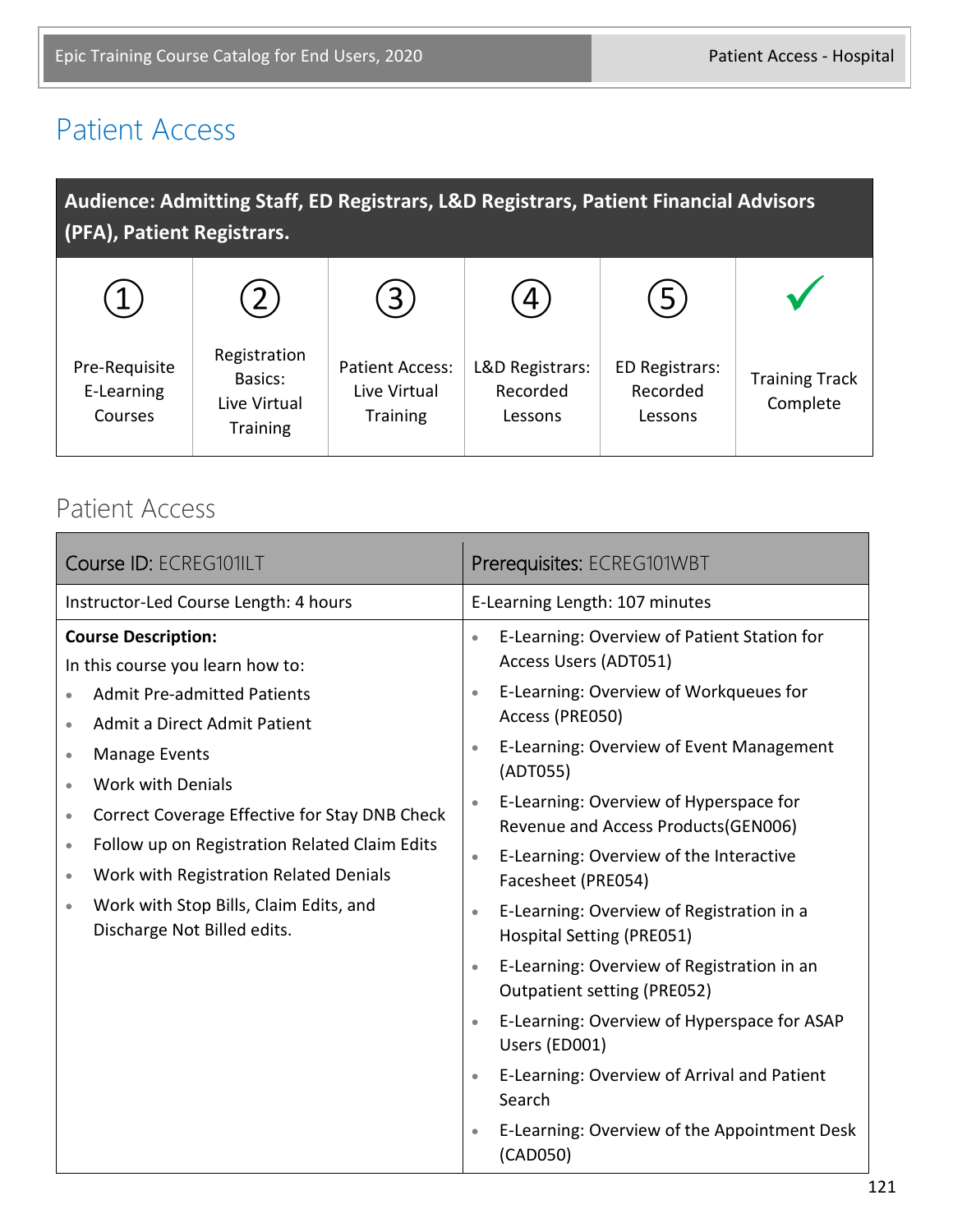#### Patient Access

| Audience: Admitting Staff, ED Registrars, L&D Registrars, Patient Financial Advisors<br>(PFA), Patient Registrars. |                                                            |                                                           |                                        |                                              |                                   |
|--------------------------------------------------------------------------------------------------------------------|------------------------------------------------------------|-----------------------------------------------------------|----------------------------------------|----------------------------------------------|-----------------------------------|
|                                                                                                                    |                                                            | $\mathbf{3}$                                              |                                        | 5                                            |                                   |
| Pre-Requisite<br>E-Learning<br>Courses                                                                             | Registration<br>Basics:<br>Live Virtual<br><b>Training</b> | <b>Patient Access:</b><br>Live Virtual<br><b>Training</b> | L&D Registrars:<br>Recorded<br>Lessons | <b>ED Registrars:</b><br>Recorded<br>Lessons | <b>Training Track</b><br>Complete |

#### Patient Access

| Course ID: ECREG101ILT                                                                                                                                                                                                                                                                                                                                                                                                                                                              | Prerequisites: ECREG101WBT                                                                                                                                                                                                                                                                                                                                                                                                                                                                                                                                                                                                                                                                                                                                                                                                        |  |
|-------------------------------------------------------------------------------------------------------------------------------------------------------------------------------------------------------------------------------------------------------------------------------------------------------------------------------------------------------------------------------------------------------------------------------------------------------------------------------------|-----------------------------------------------------------------------------------------------------------------------------------------------------------------------------------------------------------------------------------------------------------------------------------------------------------------------------------------------------------------------------------------------------------------------------------------------------------------------------------------------------------------------------------------------------------------------------------------------------------------------------------------------------------------------------------------------------------------------------------------------------------------------------------------------------------------------------------|--|
| Instructor-Led Course Length: 4 hours                                                                                                                                                                                                                                                                                                                                                                                                                                               | E-Learning Length: 107 minutes                                                                                                                                                                                                                                                                                                                                                                                                                                                                                                                                                                                                                                                                                                                                                                                                    |  |
| <b>Course Description:</b><br>In this course you learn how to:<br><b>Admit Pre-admitted Patients</b><br>Admit a Direct Admit Patient<br><b>Manage Events</b><br>$\bullet$<br><b>Work with Denials</b><br>۰<br>Correct Coverage Effective for Stay DNB Check<br>$\bullet$<br>Follow up on Registration Related Claim Edits<br>$\bullet$<br>Work with Registration Related Denials<br>$\bullet$<br>Work with Stop Bills, Claim Edits, and<br>$\bullet$<br>Discharge Not Billed edits. | E-Learning: Overview of Patient Station for<br>$\bullet$<br>Access Users (ADT051)<br>E-Learning: Overview of Workqueues for<br>$\bullet$<br>Access (PRE050)<br>E-Learning: Overview of Event Management<br>$\bullet$<br>(ADT055)<br>E-Learning: Overview of Hyperspace for<br>$\bullet$<br>Revenue and Access Products (GEN006)<br>E-Learning: Overview of the Interactive<br>$\bullet$<br>Facesheet (PRE054)<br>E-Learning: Overview of Registration in a<br>$\bullet$<br><b>Hospital Setting (PRE051)</b><br>E-Learning: Overview of Registration in an<br>$\bullet$<br>Outpatient setting (PRE052)<br>E-Learning: Overview of Hyperspace for ASAP<br>$\bullet$<br>Users (ED001)<br>E-Learning: Overview of Arrival and Patient<br>$\bullet$<br>Search<br>E-Learning: Overview of the Appointment Desk<br>$\bullet$<br>(CAD050) |  |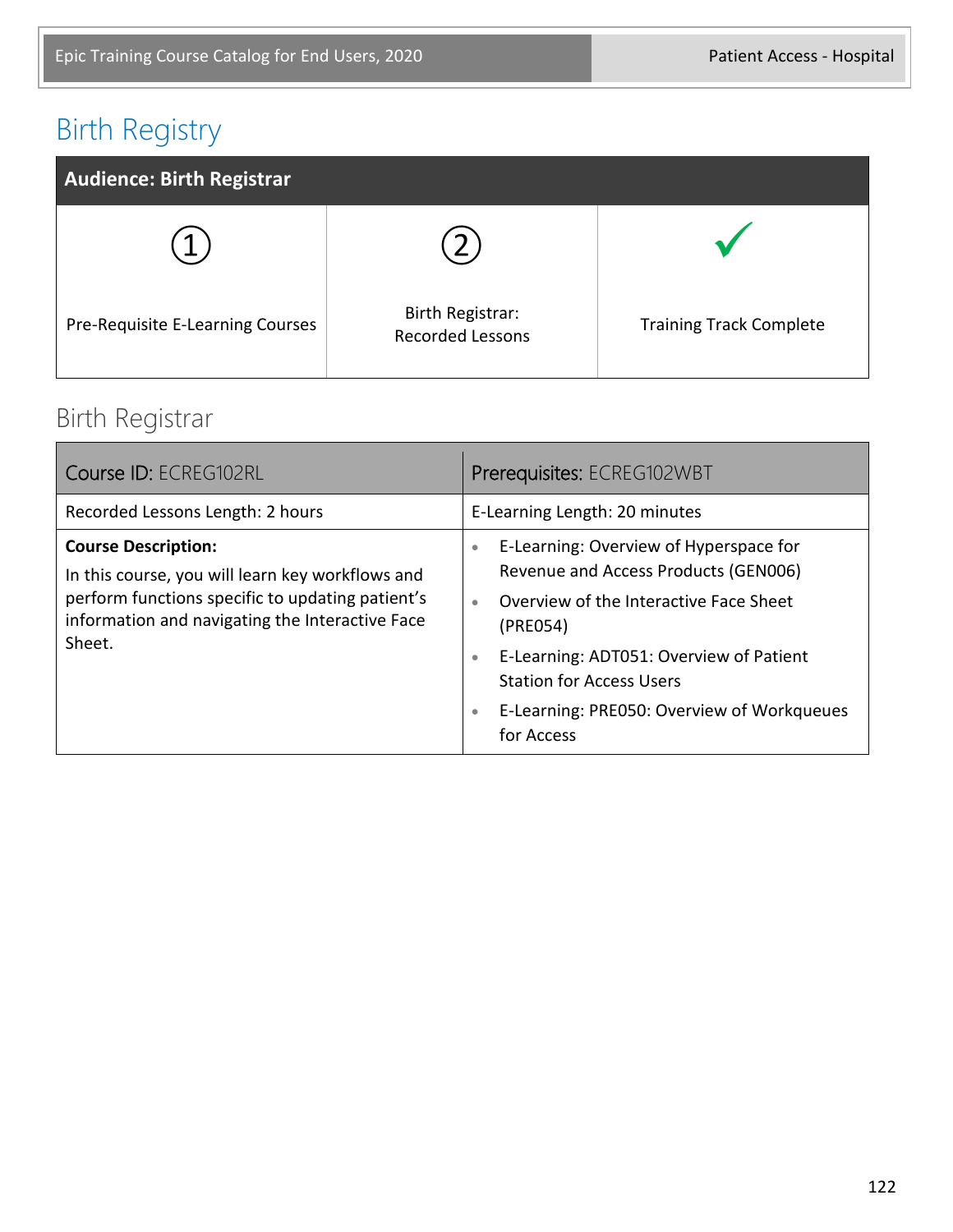#### Birth Registry



#### Birth Registrar

| Course ID: ECREG102RL                                                                                                                                                                           | Prerequisites: ECREG102WBT                                                                                                                                                                                                                                                                                                         |  |
|-------------------------------------------------------------------------------------------------------------------------------------------------------------------------------------------------|------------------------------------------------------------------------------------------------------------------------------------------------------------------------------------------------------------------------------------------------------------------------------------------------------------------------------------|--|
| Recorded Lessons Length: 2 hours                                                                                                                                                                | E-Learning Length: 20 minutes                                                                                                                                                                                                                                                                                                      |  |
| <b>Course Description:</b><br>In this course, you will learn key workflows and<br>perform functions specific to updating patient's<br>information and navigating the Interactive Face<br>Sheet. | E-Learning: Overview of Hyperspace for<br>$\bullet$<br>Revenue and Access Products (GEN006)<br>Overview of the Interactive Face Sheet<br>$\bullet$<br>(PRE054)<br>E-Learning: ADT051: Overview of Patient<br>$\bullet$<br><b>Station for Access Users</b><br>E-Learning: PRE050: Overview of Workqueues<br>$\bullet$<br>for Access |  |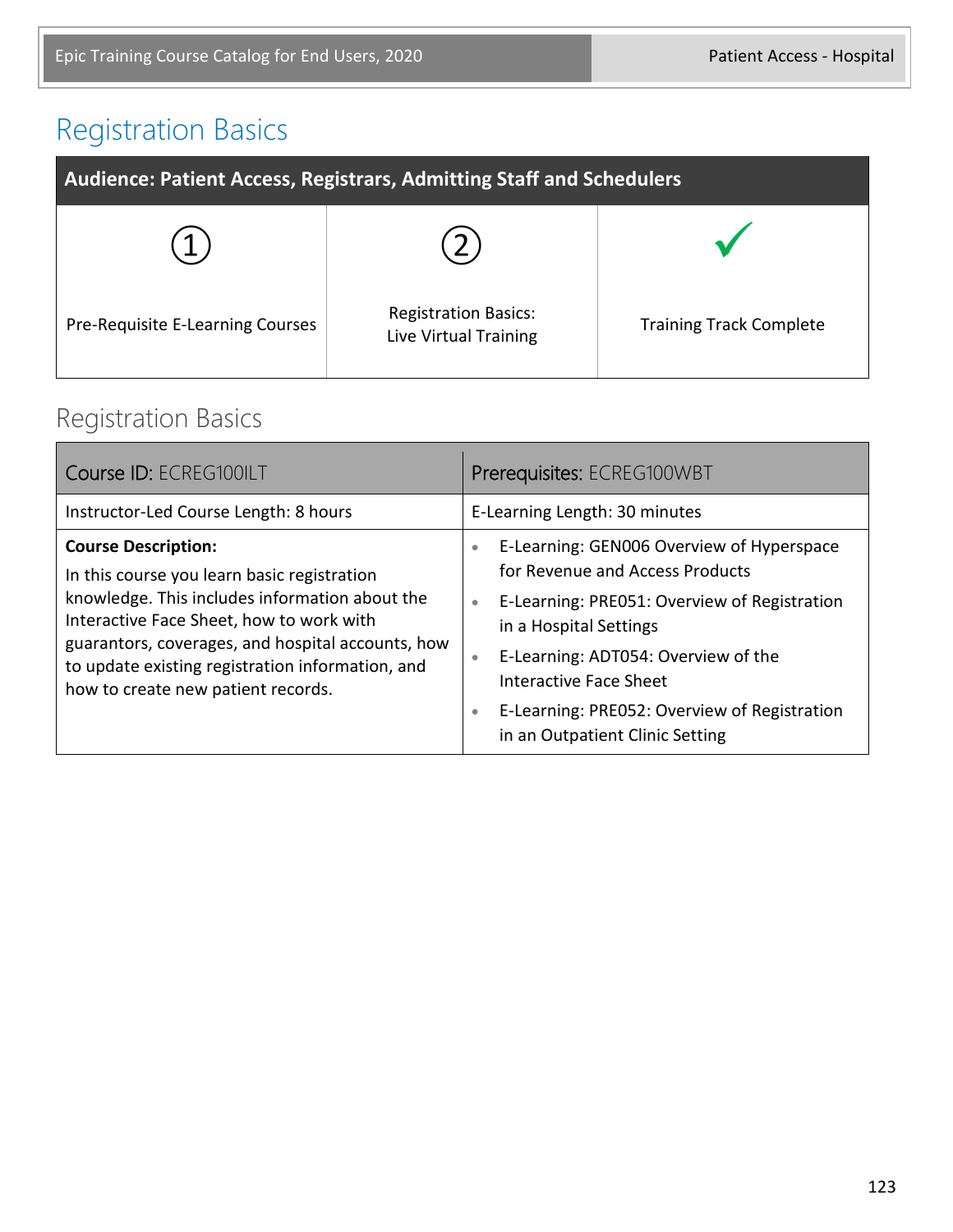# Registration Basics

| Audience: Patient Access, Registrars, Admitting Staff and Schedulers |                                                      |                                |
|----------------------------------------------------------------------|------------------------------------------------------|--------------------------------|
|                                                                      |                                                      |                                |
| Pre-Requisite E-Learning Courses                                     | <b>Registration Basics:</b><br>Live Virtual Training | <b>Training Track Complete</b> |

#### Registration Basics

| Course ID: ECREG100ILT                                                                                                                                                                                                                                                                                                 | Prerequisites: ECREG100WBT                                                                                                                                                                                                                                                                                                                                     |  |
|------------------------------------------------------------------------------------------------------------------------------------------------------------------------------------------------------------------------------------------------------------------------------------------------------------------------|----------------------------------------------------------------------------------------------------------------------------------------------------------------------------------------------------------------------------------------------------------------------------------------------------------------------------------------------------------------|--|
| Instructor-Led Course Length: 8 hours                                                                                                                                                                                                                                                                                  | E-Learning Length: 30 minutes                                                                                                                                                                                                                                                                                                                                  |  |
| <b>Course Description:</b><br>In this course you learn basic registration<br>knowledge. This includes information about the<br>Interactive Face Sheet, how to work with<br>guarantors, coverages, and hospital accounts, how<br>to update existing registration information, and<br>how to create new patient records. | E-Learning: GEN006 Overview of Hyperspace<br>$\bullet$<br>for Revenue and Access Products<br>E-Learning: PRE051: Overview of Registration<br>$\bullet$<br>in a Hospital Settings<br>E-Learning: ADT054: Overview of the<br>$\bullet$<br>Interactive Face Sheet<br>E-Learning: PRE052: Overview of Registration<br>$\bullet$<br>in an Outpatient Clinic Setting |  |